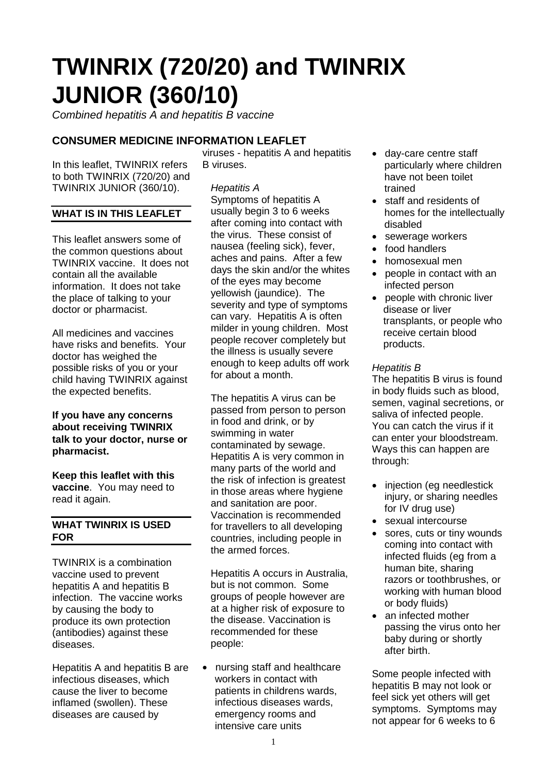# **TWINRIX (720/20) and TWINRIX JUNIOR (360/10)**

*Combined hepatitis A and hepatitis B vaccine*

# **CONSUMER MEDICINE INFORMATION LEAFLET**

In this leaflet, TWINRIX refers to both TWINRIX (720/20) and TWINRIX JUNIOR (360/10).

## **WHAT IS IN THIS LEAFLET**

This leaflet answers some of the common questions about TWINRIX vaccine. It does not contain all the available information. It does not take the place of talking to your doctor or pharmacist.

All medicines and vaccines have risks and benefits. Your doctor has weighed the possible risks of you or your child having TWINRIX against the expected benefits.

#### **If you have any concerns about receiving TWINRIX talk to your doctor, nurse or pharmacist.**

**Keep this leaflet with this vaccine**. You may need to read it again.

#### **WHAT TWINRIX IS USED FOR**

TWINRIX is a combination vaccine used to prevent hepatitis A and hepatitis B infection. The vaccine works by causing the body to produce its own protection (antibodies) against these diseases.

Hepatitis A and hepatitis B are infectious diseases, which cause the liver to become inflamed (swollen). These diseases are caused by

viruses - hepatitis A and hepatitis B viruses.

# *Hepatitis A*

Symptoms of hepatitis A usually begin 3 to 6 weeks after coming into contact with the virus. These consist of nausea (feeling sick), fever, aches and pains. After a few days the skin and/or the whites of the eyes may become yellowish (jaundice). The severity and type of symptoms can vary. Hepatitis A is often milder in young children. Most people recover completely but the illness is usually severe enough to keep adults off work for about a month.

The hepatitis A virus can be passed from person to person in food and drink, or by swimming in water contaminated by sewage. Hepatitis A is very common in many parts of the world and the risk of infection is greatest in those areas where hygiene and sanitation are poor. Vaccination is recommended for travellers to all developing countries, including people in the armed forces.

Hepatitis A occurs in Australia, but is not common. Some groups of people however are at a higher risk of exposure to the disease. Vaccination is recommended for these people:

• nursing staff and healthcare workers in contact with patients in childrens wards, infectious diseases wards, emergency rooms and intensive care units

- day-care centre staff particularly where children have not been toilet trained
- staff and residents of homes for the intellectually disabled
- sewerage workers
- food handlers
- homosexual men
- people in contact with an infected person
- people with chronic liver disease or liver transplants, or people who receive certain blood products.

## *Hepatitis B*

The hepatitis B virus is found in body fluids such as blood, semen, vaginal secretions, or saliva of infected people. You can catch the virus if it can enter your bloodstream. Ways this can happen are through:

- injection (eg needlestick injury, or sharing needles for IV drug use)
- sexual intercourse
- sores, cuts or tiny wounds coming into contact with infected fluids (eg from a human bite, sharing razors or toothbrushes, or working with human blood or body fluids)
- an infected mother passing the virus onto her baby during or shortly after birth.

Some people infected with hepatitis B may not look or feel sick yet others will get symptoms. Symptoms may not appear for 6 weeks to 6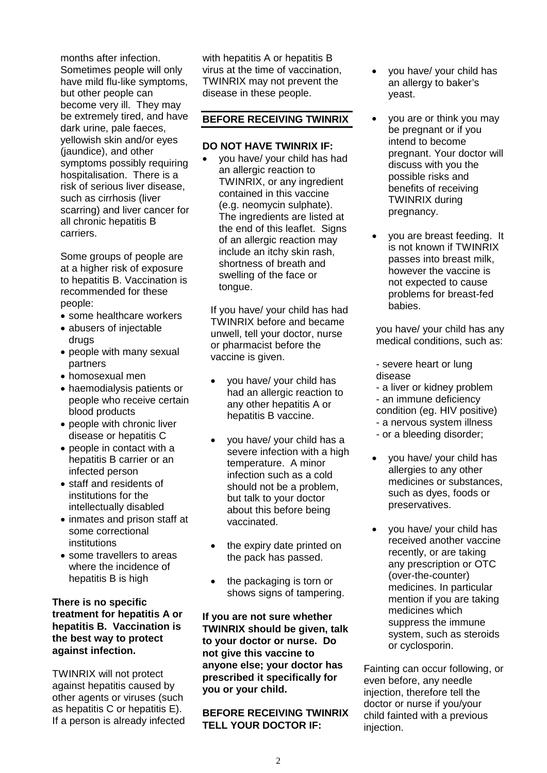months after infection. Sometimes people will only have mild flu-like symptoms, but other people can become very ill. They may be extremely tired, and have dark urine, pale faeces, yellowish skin and/or eyes (jaundice), and other symptoms possibly requiring hospitalisation. There is a risk of serious liver disease, such as cirrhosis (liver scarring) and liver cancer for all chronic hepatitis B carriers.

Some groups of people are at a higher risk of exposure to hepatitis B. Vaccination is recommended for these people:

- some healthcare workers
- abusers of injectable drugs
- people with many sexual partners
- homosexual men
- haemodialysis patients or people who receive certain blood products
- people with chronic liver disease or hepatitis C
- people in contact with a hepatitis B carrier or an infected person
- staff and residents of institutions for the intellectually disabled
- inmates and prison staff at some correctional institutions
- some travellers to areas where the incidence of hepatitis B is high

#### **There is no specific treatment for hepatitis A or hepatitis B. Vaccination is the best way to protect against infection.**

TWINRIX will not protect against hepatitis caused by other agents or viruses (such as hepatitis C or hepatitis E). If a person is already infected with hepatitis A or hepatitis B virus at the time of vaccination, TWINRIX may not prevent the disease in these people.

#### **BEFORE RECEIVING TWINRIX**

#### **DO NOT HAVE TWINRIX IF:**

• you have/ your child has had an allergic reaction to TWINRIX, or any ingredient contained in this vaccine (e.g. neomycin sulphate). The ingredients are listed at the end of this leaflet. Signs of an allergic reaction may include an itchy skin rash, shortness of breath and swelling of the face or tongue.

If you have/ your child has had TWINRIX before and became unwell, tell your doctor, nurse or pharmacist before the vaccine is given.

- you have/ your child has had an allergic reaction to any other hepatitis A or hepatitis B vaccine.
- you have/ your child has a severe infection with a high temperature. A minor infection such as a cold should not be a problem, but talk to your doctor about this before being vaccinated.
- the expiry date printed on the pack has passed.
- the packaging is torn or shows signs of tampering.

**If you are not sure whether TWINRIX should be given, talk to your doctor or nurse. Do not give this vaccine to anyone else; your doctor has prescribed it specifically for you or your child.**

**BEFORE RECEIVING TWINRIX TELL YOUR DOCTOR IF:** 

- you have/ your child has an allergy to baker's yeast.
- you are or think you may be pregnant or if you intend to become pregnant. Your doctor will discuss with you the possible risks and benefits of receiving TWINRIX during pregnancy.
- you are breast feeding. It is not known if TWINRIX passes into breast milk, however the vaccine is not expected to cause problems for breast-fed babies.

you have/ your child has any medical conditions, such as:

- severe heart or lung disease

- a liver or kidney problem - an immune deficiency
- condition (eg. HIV positive)
- a nervous system illness
- or a bleeding disorder;
- you have/ your child has allergies to any other medicines or substances, such as dyes, foods or preservatives.
- you have/ your child has received another vaccine recently, or are taking any prescription or OTC (over-the-counter) medicines. In particular mention if you are taking medicines which suppress the immune system, such as steroids or cyclosporin.

Fainting can occur following, or even before, any needle injection, therefore tell the doctor or nurse if you/your child fainted with a previous injection.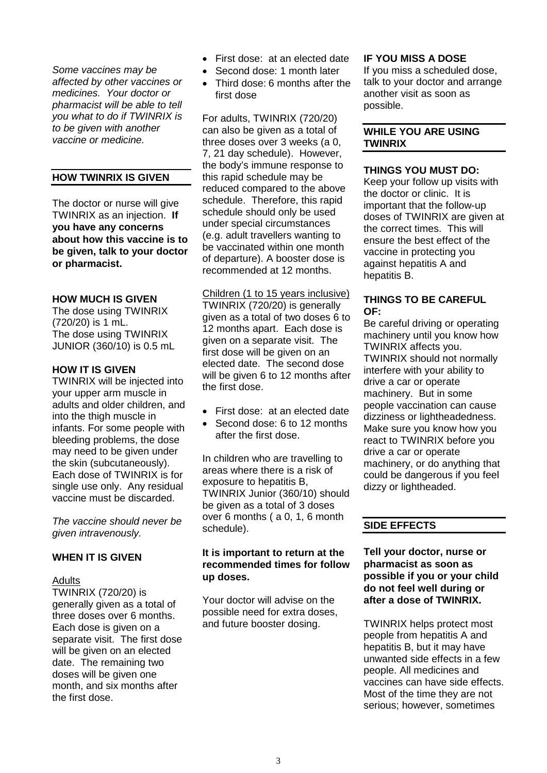*Some vaccines may be affected by other vaccines or medicines. Your doctor or pharmacist will be able to tell you what to do if TWINRIX is to be given with another vaccine or medicine.* 

#### **HOW TWINRIX IS GIVEN**

The doctor or nurse will give TWINRIX as an injection. **If you have any concerns about how this vaccine is to be given, talk to your doctor or pharmacist.**

#### **HOW MUCH IS GIVEN**

The dose using TWINRIX (720/20) is 1 mL. The dose using TWINRIX JUNIOR (360/10) is 0.5 mL

#### **HOW IT IS GIVEN**

TWINRIX will be injected into your upper arm muscle in adults and older children, and into the thigh muscle in infants. For some people with bleeding problems, the dose may need to be given under the skin (subcutaneously). Each dose of TWINRIX is for single use only. Any residual vaccine must be discarded.

*The vaccine should never be given intravenously.*

#### **WHEN IT IS GIVEN**

#### Adults

TWINRIX (720/20) is generally given as a total of three doses over 6 months. Each dose is given on a separate visit. The first dose will be given on an elected date. The remaining two doses will be given one month, and six months after the first dose.

- First dose: at an elected date
- Second dose: 1 month later
- Third dose: 6 months after the first dose

For adults, TWINRIX (720/20) can also be given as a total of three doses over 3 weeks (a 0, 7, 21 day schedule). However, the body's immune response to this rapid schedule may be reduced compared to the above schedule. Therefore, this rapid schedule should only be used under special circumstances (e.g. adult travellers wanting to be vaccinated within one month of departure). A booster dose is recommended at 12 months.

# Children (1 to 15 years inclusive)

TWINRIX (720/20) is generally given as a total of two doses 6 to 12 months apart. Each dose is given on a separate visit. The first dose will be given on an elected date. The second dose will be given 6 to 12 months after the first dose.

- First dose: at an elected date
- Second dose: 6 to 12 months after the first dose.

In children who are travelling to areas where there is a risk of exposure to hepatitis B, TWINRIX Junior (360/10) should be given as a total of 3 doses over 6 months ( a 0, 1, 6 month schedule).

#### **It is important to return at the recommended times for follow up doses.**

Your doctor will advise on the possible need for extra doses, and future booster dosing.

#### **IF YOU MISS A DOSE**

If you miss a scheduled dose, talk to your doctor and arrange another visit as soon as possible.

#### **WHILE YOU ARE USING TWINRIX**

#### **THINGS YOU MUST DO:**

Keep your follow up visits with the doctor or clinic. It is important that the follow-up doses of TWINRIX are given at the correct times. This will ensure the best effect of the vaccine in protecting you against hepatitis A and hepatitis B.

#### **THINGS TO BE CAREFUL OF:**

Be careful driving or operating machinery until you know how TWINRIX affects you. TWINRIX should not normally interfere with your ability to drive a car or operate machinery. But in some people vaccination can cause dizziness or lightheadedness. Make sure you know how you react to TWINRIX before you drive a car or operate machinery, or do anything that could be dangerous if you feel dizzy or lightheaded.

# **SIDE EFFECTS**

#### **Tell your doctor, nurse or pharmacist as soon as possible if you or your child do not feel well during or after a dose of TWINRIX.**

TWINRIX helps protect most people from hepatitis A and hepatitis B, but it may have unwanted side effects in a few people. All medicines and vaccines can have side effects. Most of the time they are not serious; however, sometimes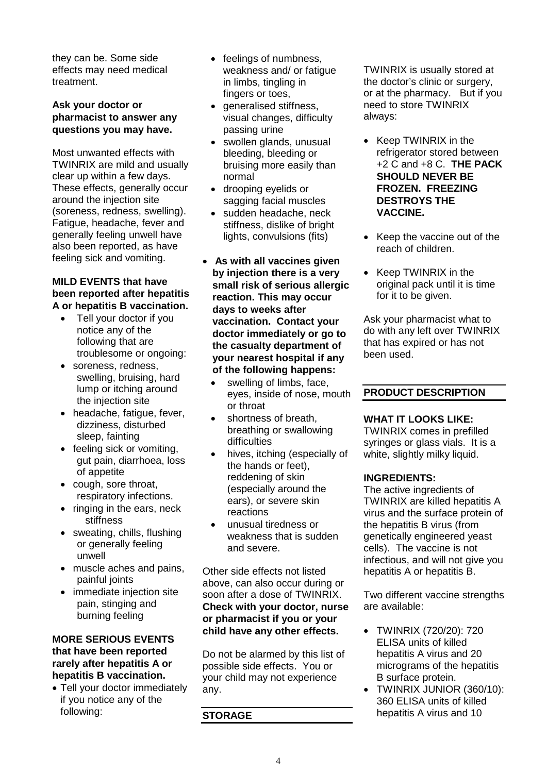they can be. Some side effects may need medical treatment.

#### **Ask your doctor or pharmacist to answer any questions you may have.**

Most unwanted effects with TWINRIX are mild and usually clear up within a few days. These effects, generally occur around the injection site (soreness, redness, swelling). Fatigue, headache, fever and generally feeling unwell have also been reported, as have feeling sick and vomiting.

#### **MILD EVENTS that have been reported after hepatitis A or hepatitis B vaccination.**

- Tell your doctor if you notice any of the following that are troublesome or ongoing:
- soreness, redness, swelling, bruising, hard lump or itching around the injection site
- headache, fatigue, fever, dizziness, disturbed sleep, fainting
- feeling sick or vomiting, gut pain, diarrhoea, loss of appetite
- cough, sore throat, respiratory infections.
- ringing in the ears, neck stiffness
- sweating, chills, flushing or generally feeling unwell
- muscle aches and pains, painful joints
- immediate injection site pain, stinging and burning feeling

#### **MORE SERIOUS EVENTS that have been reported rarely after hepatitis A or hepatitis B vaccination.**

• Tell your doctor immediately if you notice any of the following:

- feelings of numbness, weakness and/ or fatigue in limbs, tingling in fingers or toes,
- generalised stiffness, visual changes, difficulty passing urine
- swollen glands, unusual bleeding, bleeding or bruising more easily than normal
- drooping eyelids or sagging facial muscles
- sudden headache, neck stiffness, dislike of bright lights, convulsions (fits)
- **As with all vaccines given by injection there is a very small risk of serious allergic reaction. This may occur days to weeks after vaccination. Contact your doctor immediately or go to the casualty department of your nearest hospital if any of the following happens:**
	- swelling of limbs, face, eyes, inside of nose, mouth or throat
	- shortness of breath, breathing or swallowing difficulties
	- hives, itching (especially of the hands or feet), reddening of skin (especially around the ears), or severe skin reactions
	- unusual tiredness or weakness that is sudden and severe.

Other side effects not listed above, can also occur during or soon after a dose of TWINRIX. **Check with your doctor, nurse or pharmacist if you or your child have any other effects.**

Do not be alarmed by this list of possible side effects. You or your child may not experience any.

# **STORAGE**

TWINRIX is usually stored at the doctor's clinic or surgery, or at the pharmacy. But if you need to store TWINRIX always:

- Keep TWINRIX in the refrigerator stored between +2 C and +8 C. **THE PACK SHOULD NEVER BE FROZEN. FREEZING DESTROYS THE VACCINE.**
- Keep the vaccine out of the reach of children.
- Keep TWINRIX in the original pack until it is time for it to be given.

Ask your pharmacist what to do with any left over TWINRIX that has expired or has not been used.

# **PRODUCT DESCRIPTION**

# **WHAT IT LOOKS LIKE:**

TWINRIX comes in prefilled syringes or glass vials. It is a white, slightly milky liquid.

# **INGREDIENTS:**

The active ingredients of TWINRIX are killed hepatitis A virus and the surface protein of the hepatitis B virus (from genetically engineered yeast cells). The vaccine is not infectious, and will not give you hepatitis A or hepatitis B.

Two different vaccine strengths are available:

- TWINRIX (720/20): 720 ELISA units of killed hepatitis A virus and 20 micrograms of the hepatitis B surface protein.
- TWINRIX JUNIOR (360/10): 360 ELISA units of killed hepatitis A virus and 10